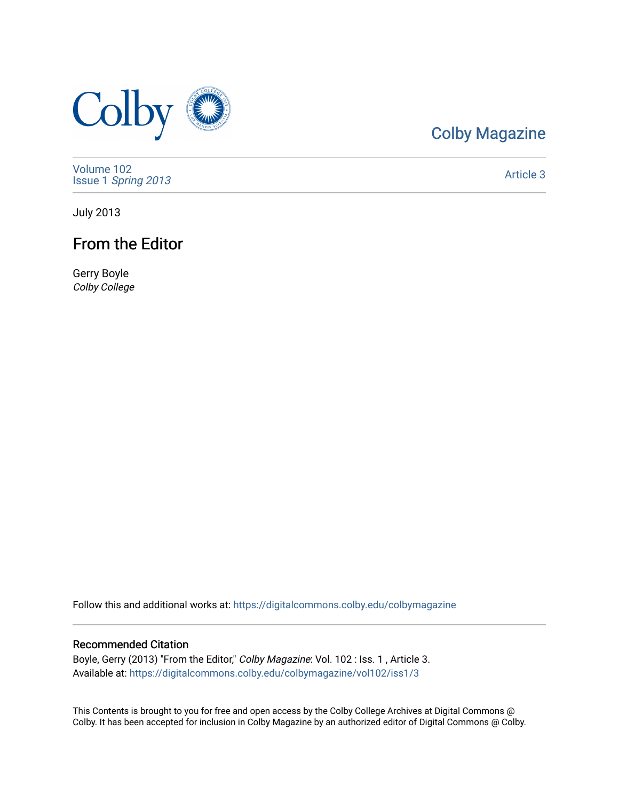

# [Colby Magazine](https://digitalcommons.colby.edu/colbymagazine)

[Volume 102](https://digitalcommons.colby.edu/colbymagazine/vol102) Issue 1 [Spring 2013](https://digitalcommons.colby.edu/colbymagazine/vol102/iss1) 

[Article 3](https://digitalcommons.colby.edu/colbymagazine/vol102/iss1/3) 

July 2013

## From the Editor

Gerry Boyle Colby College

Follow this and additional works at: [https://digitalcommons.colby.edu/colbymagazine](https://digitalcommons.colby.edu/colbymagazine?utm_source=digitalcommons.colby.edu%2Fcolbymagazine%2Fvol102%2Fiss1%2F3&utm_medium=PDF&utm_campaign=PDFCoverPages)

## Recommended Citation

Boyle, Gerry (2013) "From the Editor," Colby Magazine: Vol. 102 : Iss. 1, Article 3. Available at: [https://digitalcommons.colby.edu/colbymagazine/vol102/iss1/3](https://digitalcommons.colby.edu/colbymagazine/vol102/iss1/3?utm_source=digitalcommons.colby.edu%2Fcolbymagazine%2Fvol102%2Fiss1%2F3&utm_medium=PDF&utm_campaign=PDFCoverPages) 

This Contents is brought to you for free and open access by the Colby College Archives at Digital Commons @ Colby. It has been accepted for inclusion in Colby Magazine by an authorized editor of Digital Commons @ Colby.